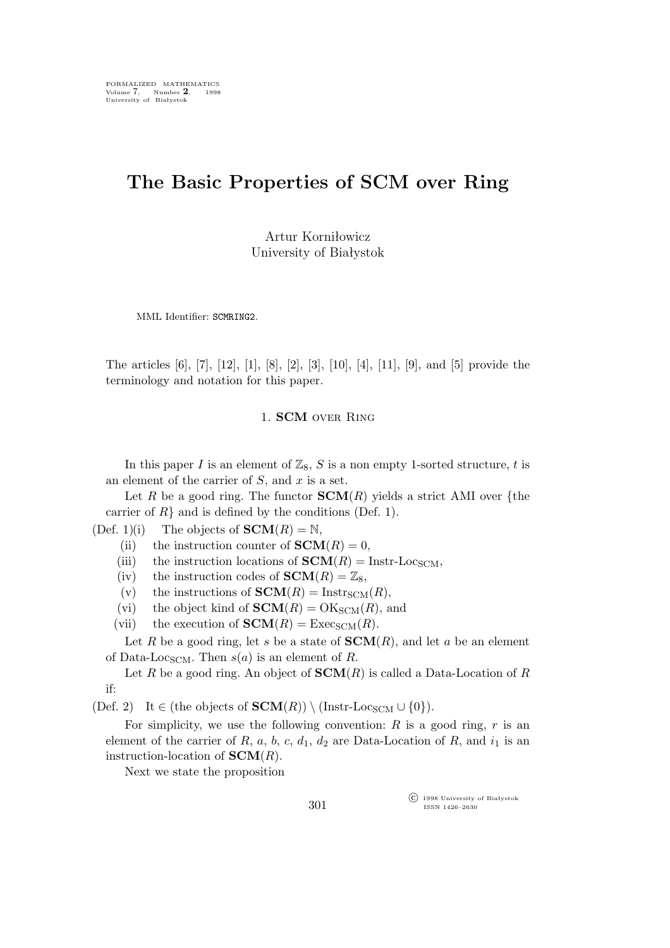# **The Basic Properties of SCM over Ring**

Artur Korniłowicz University of Białystok

MML Identifier: SCMRING2.

The articles [6], [7], [12], [1], [8], [2], [3], [10], [4], [11], [9], and [5] provide the terminology and notation for this paper.

## 1. **SCM** over Ring

In this paper I is an element of  $\mathbb{Z}_8$ , S is a non empty 1-sorted structure, t is an element of the carrier of  $S$ , and  $x$  is a set.

Let R be a good ring. The functor  **yields a strict AMI over {the** carrier of  $R$ <sup>}</sup> and is defined by the conditions (Def. 1).

(Def. 1)(i) The objects of **,** 

(ii) the instruction counter of **,** 

(iii) the instruction locations of  **Instr-Loc<sub>SCM</sub>,** 

(iv) the instruction codes of **,** 

(v) the instructions of  **Instr<sub>SCM</sub>** $(R)$ **,** 

(vi) the object kind of **, and** 

(vii) the execution of **.** 

Let R be a good ring, let s be a state of **, and let a be an element** of Data-Loc<sub>SCM</sub>. Then  $s(a)$  is an element of R.

Let R be a good ring. An object of  $\text{SCM}(R)$  is called a Data-Location of R if:

 $(\text{Def. 2})$  It  $\in$  (the objects of  $\text{SCM}(R)$ )  $\setminus$  (Instr-Loc<sub>SCM</sub>  $\cup$  {0}).

For simplicity, we use the following convention:  $R$  is a good ring,  $r$  is an element of the carrier of R, a, b, c,  $d_1$ ,  $d_2$  are Data-Location of R, and  $i_1$  is an instruction-location of **SCM**(R).

Next we state the proposition

°c 1998 University of Białystok ISSN 1426–2630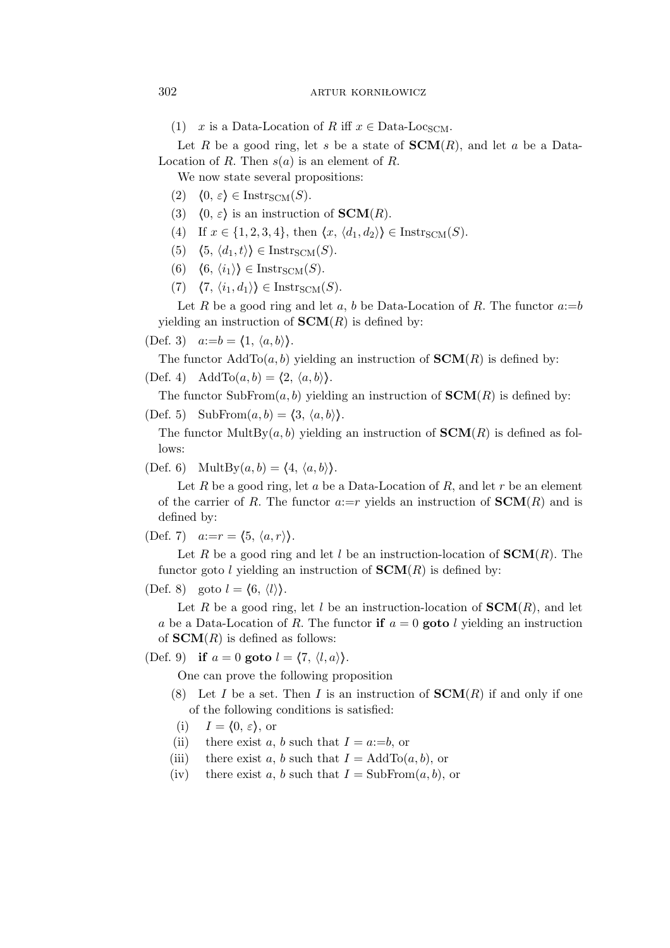(1) x is a Data-Location of R iff  $x \in$  Data-Loc<sub>SCM</sub>.

Let R be a good ring, let s be a state of  $SCM(R)$ , and let a be a Data-Location of R. Then  $s(a)$  is an element of R.

We now state several propositions:

- $(2)$   $\langle 0, \varepsilon \rangle \in \text{Instr}_{SCM}(S)$ .
- (3)  $\langle 0, \varepsilon \rangle$  is an instruction of **SCM**(R).
- (4) If  $x \in \{1, 2, 3, 4\}$ , then  $\langle x, \langle d_1, d_2 \rangle \rangle \in \text{Instr}_{\text{SCM}}(S)$ .
- $(5)$   $\langle 5, \langle d_1, t \rangle \rangle \in \text{Instr}_{\text{SCM}}(S)$ .
- (6)  $\langle 6, \langle i_1 \rangle \rangle \in \text{Instr}_{SCM}(S)$ .
- $(7)$   $\langle 7, \langle i_1, d_1 \rangle \rangle \in \text{Instr}_{\text{SCM}}(S).$

Let R be a good ring and let a, b be Data-Location of R. The functor  $a:=b$ yielding an instruction of  **is defined by:** 

(Def. 3)  $a:=b=\langle 1, \langle a,b\rangle \rangle$ .

The functor  $\text{AddTo}(a,b)$  yielding an instruction of  $\text{SCM}(R)$  is defined by:

(Def. 4) AddTo $(a, b) = \langle 2, \langle a, b \rangle \rangle$ .

The functor  $\text{SubFrom}(a, b)$  yielding an instruction of  $\text{SCM}(R)$  is defined by:

(Def. 5) SubFrom $(a, b) = \langle 3, \langle a, b \rangle \rangle$ .

The functor MultBy $(a, b)$  yielding an instruction of  **is defined as fol**lows:

(Def. 6) MultBy $(a, b) = \langle 4, \langle a, b \rangle \rangle$ .

Let R be a good ring, let a be a Data-Location of R, and let r be an element of the carrier of R. The functor  $a:=r$  yields an instruction of  **and is** defined by:

(Def. 7)  $a:=r = \langle 5, \langle a, r \rangle \rangle$ .

Let R be a good ring and let l be an instruction-location of **. The** functor goto l yielding an instruction of  **is defined by:** 

(Def. 8) goto  $l = \langle 6, \langle l \rangle \rangle$ .

Let R be a good ring, let l be an instruction-location of  $SCM(R)$ , and let a be a Data-Location of R. The functor **if**  $a = 0$  goto l yielding an instruction of  **is defined as follows:** 

(Def. 9) **if**  $a = 0$  **goto**  $l = \langle 7, \langle l, a \rangle \rangle$ .

One can prove the following proposition

- (8) Let I be a set. Then I is an instruction of  $SCM(R)$  if and only if one of the following conditions is satisfied:
- (i)  $I = \langle 0, \varepsilon \rangle$ , or
- (ii) there exist a, b such that  $I = a:=b$ , or
- (iii) there exist a, b such that  $I = \text{AddTo}(a, b)$ , or
- (iv) there exist a, b such that  $I = SubFrom(a, b)$ , or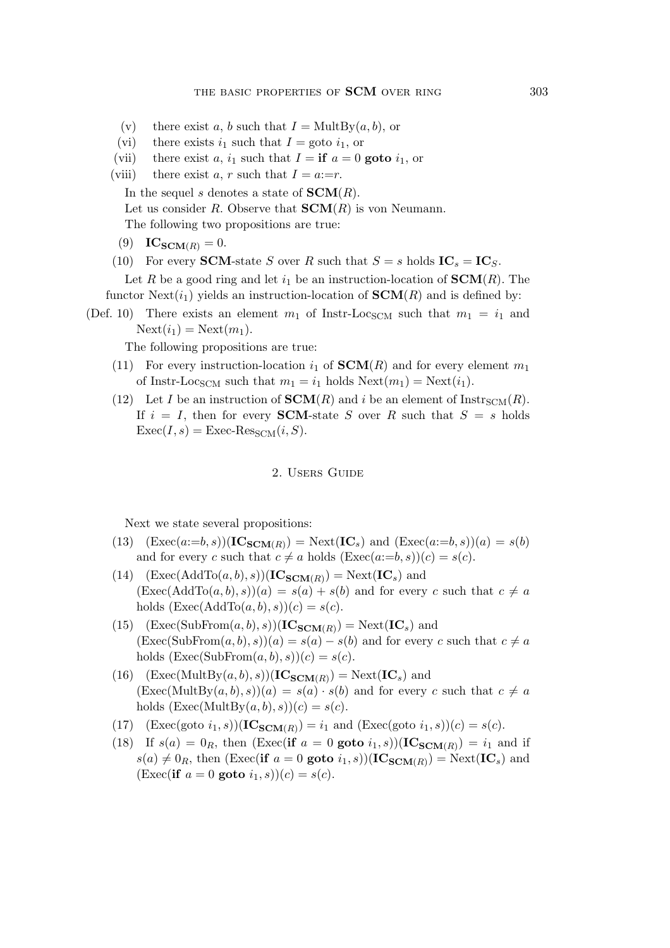- (v) there exist a, b such that  $I = MultBy(a, b)$ , or
- (vi) there exists  $i_1$  such that  $I = \text{goto } i_1$ , or
- (vii) there exist a,  $i_1$  such that  $I = \mathbf{if} \ a = 0 \text{ goto } i_1$ , or
- (viii) there exist a, r such that  $I = a:=r$ .
	- In the sequel s denotes a state of **.**
	- Let us consider R. Observe that  $SCM(R)$  is von Neumann.

The following two propositions are true:

- (9) **ICSCM**(*R*) = 0.
- (10) For every **SCM**-state S over R such that  $S = s$  holds  $IC_s = IC_S$ .

Let R be a good ring and let  $i_1$  be an instruction-location of  $\text{SCM}(R)$ . The functor  $Next(i_1)$  yields an instruction-location of  $SCM(R)$  and is defined by:

(Def. 10) There exists an element  $m_1$  of Instr-Loc<sub>SCM</sub> such that  $m_1 = i_1$  and  $\text{Next}(i_1) = \text{Next}(m_1).$ 

The following propositions are true:

- (11) For every instruction-location  $i_1$  of  $SCM(R)$  and for every element  $m_1$ of Instr-Loc<sub>SCM</sub> such that  $m_1 = i_1$  holds  $\text{Next}(m_1) = \text{Next}(i_1)$ .
- (12) Let I be an instruction of  $SCM(R)$  and i be an element of  $Instr_{SCM}(R)$ . If  $i = I$ , then for every **SCM**-state S over R such that  $S = s$  holds  $\text{Exec}(I, s) = \text{Exec-Res}_{\text{SCM}}(i, S).$

## 2. Users Guide

Next we state several propositions:

- (13)  $(Exec(a:=b,s))(IC_{SCM(R)}) = Next(IC_s)$  and  $(Exec(a:=b,s))(a) = s(b)$ and for every c such that  $c \neq a$  holds  $(\text{Exec}(a:=b,s))(c) = s(c)$ .
- $(14)$   $(Exec(AddTo(a, b), s))(IC_{SCM(R)}) = Next(IC_s)$  and  $(Exec(AddTo(a, b), s))(a) = s(a) + s(b)$  and for every c such that  $c \neq a$ holds  $(Exec(AddTo(a, b), s))(c) = s(c).$
- $(15)$   $(\text{Exec}(\text{SubFrom}(a, b), s))(\text{IC}_{\text{SCM}(R)}) = \text{Next}(\text{IC}_s)$  and  $(Exec(SubFrom(a, b), s))(a) = s(a) - s(b)$  and for every c such that  $c \neq a$ holds  $(\text{Exec}(\text{SubFrom}(a, b), s))(c) = s(c).$
- $(16)$   $(\text{Exec}(MultBy(a, b), s))(\text{IC}_{\text{SCM}(R)}) = \text{Next}(\text{IC}_s)$  and  $(Exec(MultBy(a, b), s))(a) = s(a) \cdot s(b)$  and for every c such that  $c \neq a$ holds  $(Exec(MultBy(a, b), s))(c) = s(c).$
- (17)  $(\text{Exec}(goto i_1, s))(\text{IC}_{SCM(R)}) = i_1 \text{ and } (\text{Exec}(goto i_1, s))(c) = s(c).$
- (18) If  $s(a) = 0_R$ , then (Exec(**if**  $a = 0$  goto  $i_1, s$ ))(**IC**<sub>**SCM**(R)</sub>) =  $i_1$  and if  $s(a) \neq 0_R$ , then (Exec(**if**  $a = 0$  **goto**  $i_1, s$ ))(**IC**<sub>**SCM**(*R*)</sub>) = Next(**IC**<sub>*s*</sub>) and  $(\text{Exec}(\text{if } a = 0 \text{ goto } i_1, s))(c) = s(c).$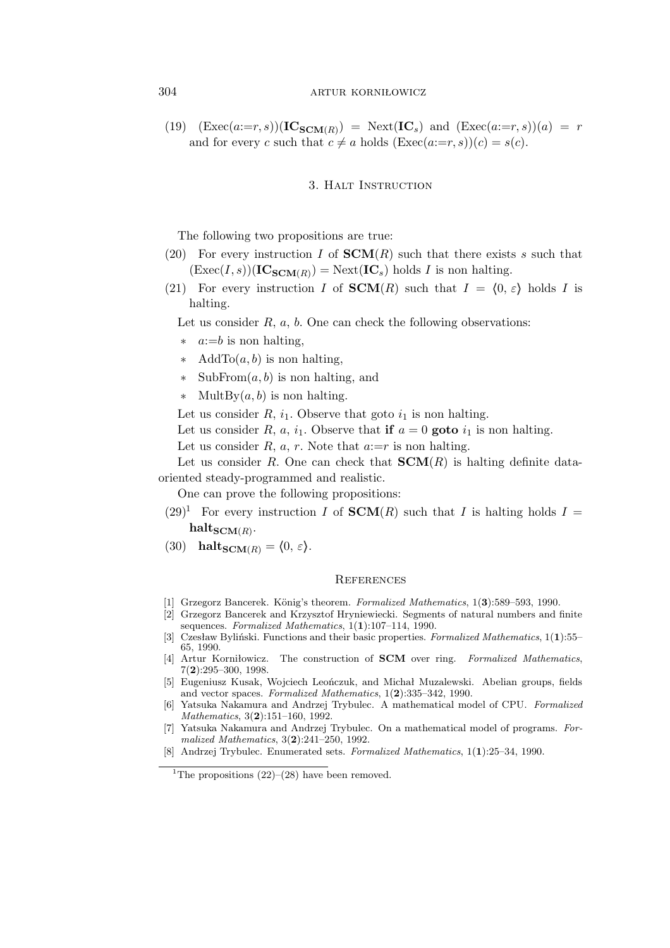# 304 artur korniłowicz

(19)  $(Exec(a:=r,s))(IC_{SCM(R)}) = Next(IC_s)$  and  $(Exec(a:=r,s))(a) = r$ and for every c such that  $c \neq a$  holds  $(\text{Exec}(a:=r,s))(c) = s(c)$ .

### 3. Halt Instruction

The following two propositions are true:

- (20) For every instruction I of  $SCM(R)$  such that there exists s such that  $(\text{Exec}(I, s))(\text{IC}_{\text{SCM}(R)}) = \text{Next}(\text{IC}_s)$  holds I is non halting.
- (21) For every instruction I of **SCM**(R) such that  $I = \langle 0, \varepsilon \rangle$  holds I is halting.

Let us consider  $R$ ,  $a$ ,  $b$ . One can check the following observations:

- *∗* a:=b is non halting,
- *∗* AddTo(a,b) is non halting,
- *∗* SubFrom(a,b) is non halting, and
- *∗* MultBy(a,b) is non halting.

Let us consider  $R$ ,  $i_1$ . Observe that goto  $i_1$  is non halting.

Let us consider R, a,  $i_1$ . Observe that **if**  $a = 0$  goto  $i_1$  is non halting.

Let us consider  $R$ ,  $a$ ,  $r$ . Note that  $a:=r$  is non halting.

Let us consider R. One can check that  $SCM(R)$  is halting definite dataoriented steady-programmed and realistic.

One can prove the following propositions:

- $(29)^1$  For every instruction I of **SCM**(R) such that I is halting holds I =  $\mathbf{halt_{SCM}(R)}$ .
- (30) **haltSCM**(R) =  $\langle 0, \varepsilon \rangle$ .

#### **REFERENCES**

- [1] Grzegorz Bancerek. König's theorem. *Formalized Mathematics*, 1(3):589–593, 1990.
- [2] Grzegorz Bancerek and Krzysztof Hryniewiecki. Segments of natural numbers and finite sequences. *Formalized Mathematics*, 1(**1**):107–114, 1990.
- [3] Czesław Byliński. Functions and their basic properties. *Formalized Mathematics*, 1(**1**):55– 65, 1990.
- [4] Artur Korniłowicz. The construction of **SCM** over ring. *Formalized Mathematics*, 7(**2**):295–300, 1998.
- [5] Eugeniusz Kusak, Wojciech Leończuk, and Michał Muzalewski. Abelian groups, fields and vector spaces. *Formalized Mathematics*, 1(**2**):335–342, 1990.
- [6] Yatsuka Nakamura and Andrzej Trybulec. A mathematical model of CPU. *Formalized Mathematics*, 3(**2**):151–160, 1992.
- [7] Yatsuka Nakamura and Andrzej Trybulec. On a mathematical model of programs. *Formalized Mathematics*, 3(**2**):241–250, 1992.
- [8] Andrzej Trybulec. Enumerated sets. *Formalized Mathematics*, 1(**1**):25–34, 1990.

<sup>&</sup>lt;sup>1</sup>The propositions  $(22)$ – $(28)$  have been removed.